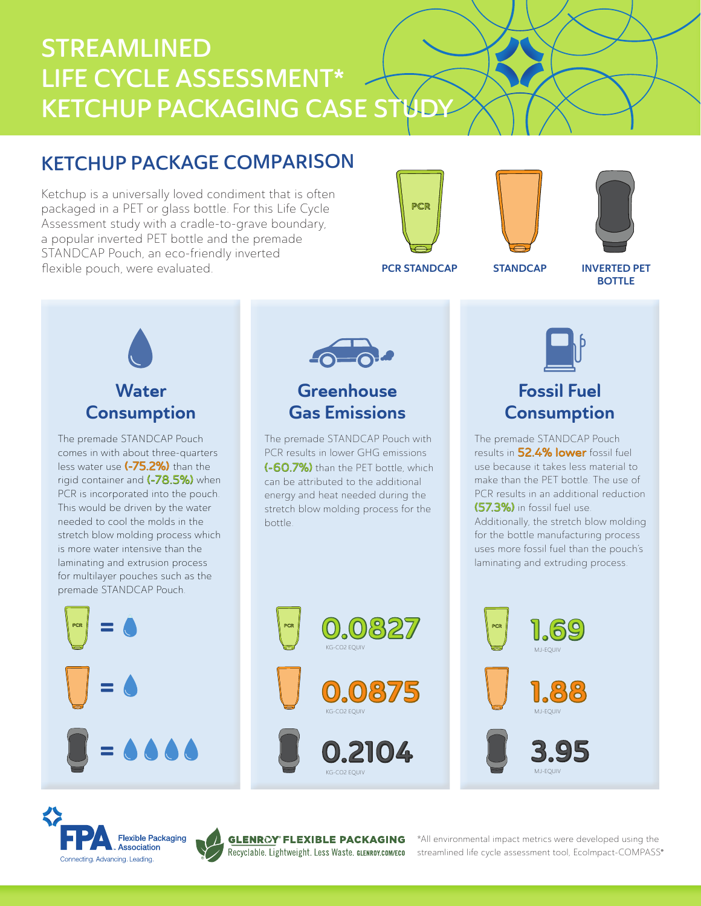# STREAMLINED LIFE CYCLE ASSESSMENT\* KETCHUP PACKAGING CASE STUD

# KETCHUP PACKAGE COMPARISON

Ketchup is a universally loved condiment that is often packaged in a PET or glass bottle. For this Life Cycle Assessment study with a cradle-to-grave boundary, a popular inverted PET bottle and the premade STANDCAP Pouch, an eco-friendly inverted flexible pouch, were evaluated.







PCR STANDCAP STANDCAP

INVERTED PET **BOTTLE** 

# **Water Consumption**

The premade STANDCAP Pouch comes in with about three-quarters less water use (-75.2%) than the rigid container and (-78.5%) when PCR is incorporated into the pouch. This would be driven by the water needed to cool the molds in the stretch blow molding process which is more water intensive than the laminating and extrusion process for multilayer pouches such as the premade STANDCAP Pouch.







®

\*All environmental impact metrics were developed using the streamlined life cycle assessment tool, EcoImpact-COMPASS®

MJ-EQUIV



# Fossil Fuel **Consumption**

The premade STANDCAP Pouch results in 52.4% lower fossil fuel use because it takes less material to make than the PET bottle. The use of PCR results in an additional reduction (57.3%) in fossil fuel use. Additionally, the stretch blow molding for the bottle manufacturing process uses more fossil fuel than the pouch's laminating and extruding process.



The premade STANDCAP Pouch with PCR results in lower GHG emissions (-60.7%) than the PFT bottle, which can be attributed to the additional energy and heat needed during the stretch blow molding process for the

**Greenhouse** Gas Emissions

bottle.



KG-CO2 EQUIV